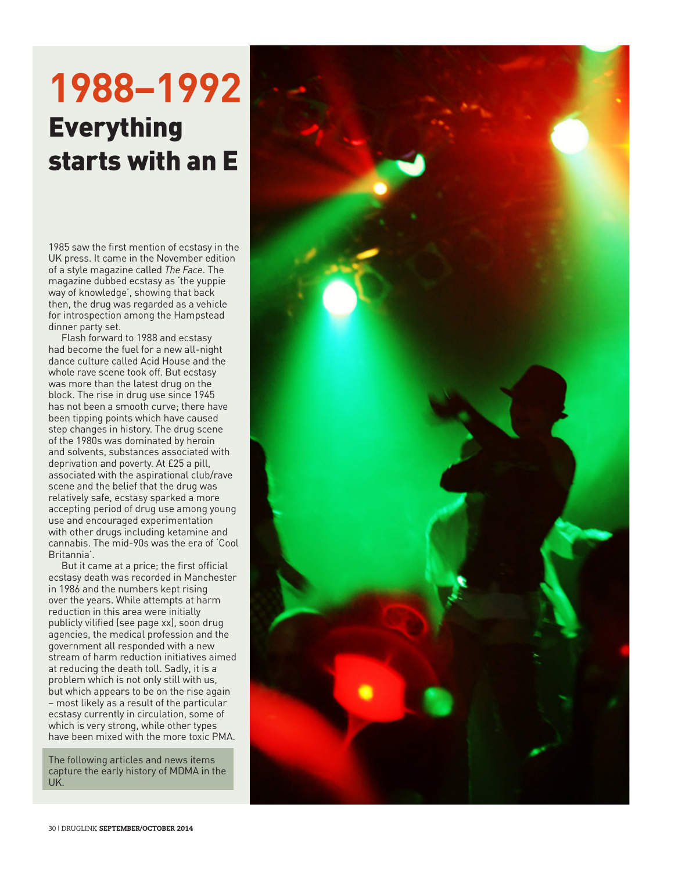## **1988–1992**  Everything starts with an E

1985 saw the first mention of ecstasy in the UK press. It came in the November edition of a style magazine called *The Face*. The magazine dubbed ecstasy as 'the yuppie way of knowledge', showing that back then, the drug was regarded as a vehicle for introspection among the Hampstead dinner party set.

Flash forward to 1988 and ecstasy had become the fuel for a new all-night dance culture called Acid House and the whole rave scene took off. But ecstasy was more than the latest drug on the block. The rise in drug use since 1945 has not been a smooth curve; there have been tipping points which have caused step changes in history. The drug scene of the 1980s was dominated by heroin and solvents, substances associated with deprivation and poverty. At £25 a pill, associated with the aspirational club/rave scene and the belief that the drug was relatively safe, ecstasy sparked a more accepting period of drug use among young use and encouraged experimentation with other drugs including ketamine and cannabis. The mid-90s was the era of 'Cool Britannia'.

But it came at a price; the first official ecstasy death was recorded in Manchester in 1986 and the numbers kept rising over the years. While attempts at harm reduction in this area were initially publicly vilified (see page xx), soon drug agencies, the medical profession and the government all responded with a new stream of harm reduction initiatives aimed at reducing the death toll. Sadly, it is a problem which is not only still with us, but which appears to be on the rise again – most likely as a result of the particular ecstasy currently in circulation, some of which is very strong, while other types have been mixed with the more toxic PMA.

The following articles and news items capture the early history of MDMA in the UK.

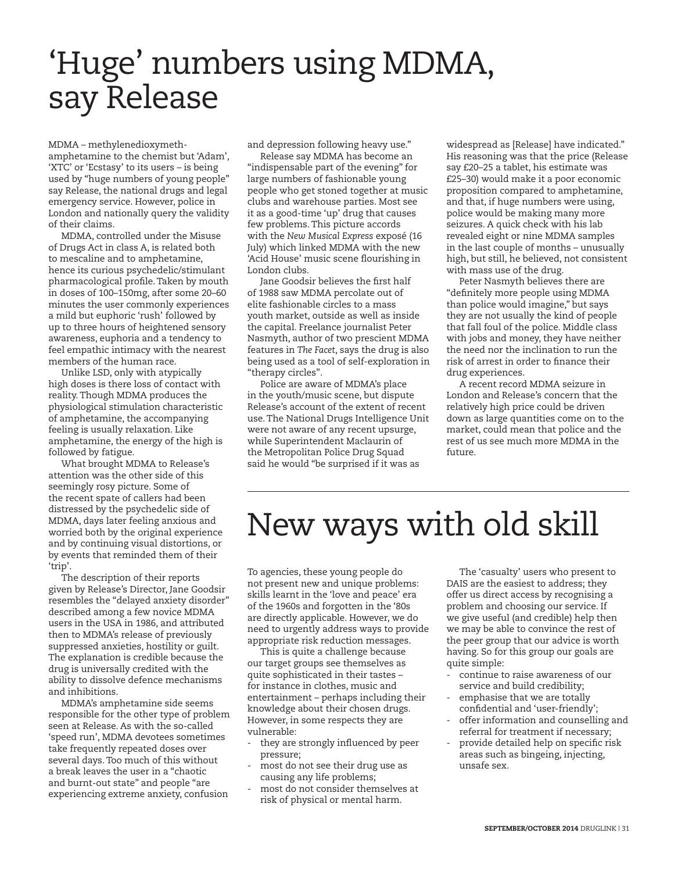#### 'Huge' numbers using MDMA, say Release

MDMA – methylenedioxymethamphetamine to the chemist but 'Adam', 'XTC' or 'Ecstasy' to its users – is being used by "huge numbers of young people" say Release, the national drugs and legal emergency service. However, police in London and nationally query the validity of their claims.

MDMA, controlled under the Misuse of Drugs Act in class A, is related both to mescaline and to amphetamine, hence its curious psychedelic/stimulant pharmacological profile. Taken by mouth in doses of 100–150mg, after some 20–60 minutes the user commonly experiences a mild but euphoric 'rush' followed by up to three hours of heightened sensory awareness, euphoria and a tendency to feel empathic intimacy with the nearest members of the human race.

Unlike LSD, only with atypically high doses is there loss of contact with reality. Though MDMA produces the physiological stimulation characteristic of amphetamine, the accompanying feeling is usually relaxation. Like amphetamine, the energy of the high is followed by fatigue.

What brought MDMA to Release's attention was the other side of this seemingly rosy picture. Some of the recent spate of callers had been distressed by the psychedelic side of MDMA, days later feeling anxious and worried both by the original experience and by continuing visual distortions, or by events that reminded them of their 'trip'.

The description of their reports given by Release's Director, Jane Goodsir resembles the "delayed anxiety disorder" described among a few novice MDMA users in the USA in 1986, and attributed then to MDMA's release of previously suppressed anxieties, hostility or guilt. The explanation is credible because the drug is universally credited with the ability to dissolve defence mechanisms and inhibitions.

MDMA's amphetamine side seems responsible for the other type of problem seen at Release. As with the so-called 'speed run', MDMA devotees sometimes take frequently repeated doses over several days. Too much of this without a break leaves the user in a "chaotic and burnt-out state" and people "are experiencing extreme anxiety, confusion

and depression following heavy use."

Release say MDMA has become an "indispensable part of the evening" for large numbers of fashionable young people who get stoned together at music clubs and warehouse parties. Most see it as a good-time 'up' drug that causes few problems. This picture accords with the *New Musical Express* exposé (16 July) which linked MDMA with the new 'Acid House' music scene flourishing in London clubs.

Jane Goodsir believes the first half of 1988 saw MDMA percolate out of elite fashionable circles to a mass youth market, outside as well as inside the capital. Freelance journalist Peter Nasmyth, author of two prescient MDMA features in *The Facet*, says the drug is also being used as a tool of self-exploration in "therapy circles".

Police are aware of MDMA's place in the youth/music scene, but dispute Release's account of the extent of recent use. The National Drugs Intelligence Unit were not aware of any recent upsurge, while Superintendent Maclaurin of the Metropolitan Police Drug Squad said he would "be surprised if it was as

widespread as [Release] have indicated." His reasoning was that the price (Release say £20–25 a tablet, his estimate was £25–30) would make it a poor economic proposition compared to amphetamine, and that, if huge numbers were using, police would be making many more seizures. A quick check with his lab revealed eight or nine MDMA samples in the last couple of months – unusually high, but still, he believed, not consistent with mass use of the drug.

Peter Nasmyth believes there are "definitely more people using MDMA than police would imagine," but says they are not usually the kind of people that fall foul of the police. Middle class with jobs and money, they have neither the need nor the inclination to run the risk of arrest in order to finance their drug experiences.

A recent record MDMA seizure in London and Release's concern that the relatively high price could be driven down as large quantities come on to the market, could mean that police and the rest of us see much more MDMA in the future.

#### New ways with old skill

To agencies, these young people do not present new and unique problems: skills learnt in the 'love and peace' era of the 1960s and forgotten in the '80s are directly applicable. However, we do need to urgently address ways to provide appropriate risk reduction messages.

This is quite a challenge because our target groups see themselves as quite sophisticated in their tastes – for instance in clothes, music and entertainment – perhaps including their knowledge about their chosen drugs. However, in some respects they are vulnerable:

- they are strongly influenced by peer pressure;
- most do not see their drug use as causing any life problems;
- most do not consider themselves at risk of physical or mental harm.

The 'casualty' users who present to DAIS are the easiest to address; they offer us direct access by recognising a problem and choosing our service. If we give useful (and credible) help then we may be able to convince the rest of the peer group that our advice is worth having. So for this group our goals are quite simple:

- continue to raise awareness of our service and build credibility;
- emphasise that we are totally confidential and 'user-friendly';
- offer information and counselling and referral for treatment if necessary;
- provide detailed help on specific risk areas such as bingeing, injecting, unsafe sex.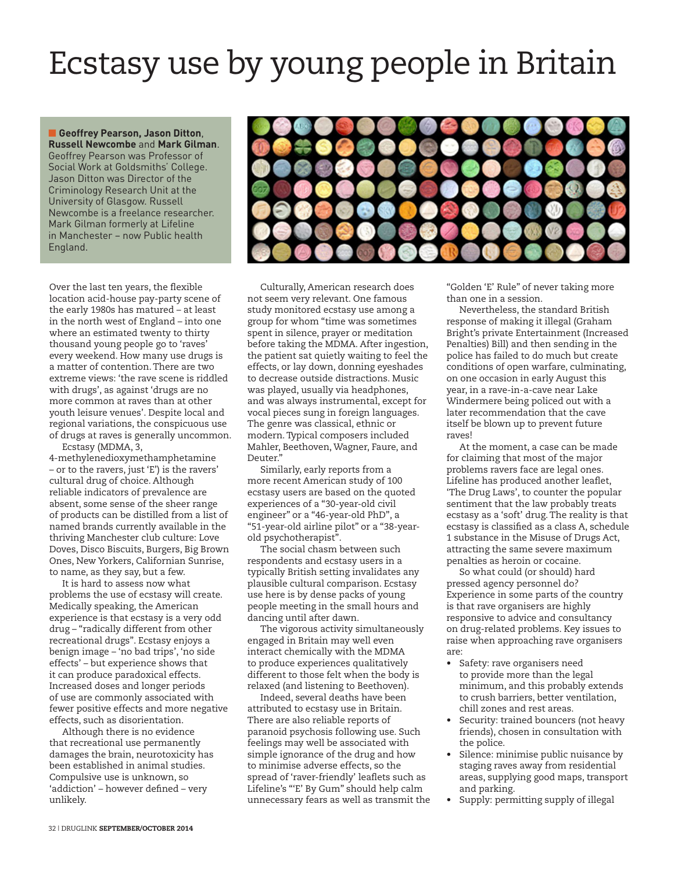# Ecstasy use by young people in Britain

**n** Geoffrey Pearson, Jason Ditton, **Russell Newcombe** and **Mark Gilman**. Geoffrey Pearson was Professor of Social Work at Goldsmiths' College. Jason Ditton was Director of the Criminology Research Unit at the University of Glasgow. Russell Newcombe is a freelance researcher. Mark Gilman formerly at Lifeline in Manchester – now Public health England.

Over the last ten years, the flexible location acid-house pay-party scene of the early 1980s has matured – at least in the north west of England – into one where an estimated twenty to thirty thousand young people go to 'raves' every weekend. How many use drugs is a matter of contention. There are two extreme views: 'the rave scene is riddled with drugs', as against 'drugs are no more common at raves than at other youth leisure venues'. Despite local and regional variations, the conspicuous use of drugs at raves is generally uncommon.

Ecstasy (MDMA, 3, 4-methylenedioxymethamphetamine – or to the ravers, just 'E') is the ravers' cultural drug of choice. Although reliable indicators of prevalence are absent, some sense of the sheer range of products can be distilled from a list of named brands currently available in the thriving Manchester club culture: Love Doves, Disco Biscuits, Burgers, Big Brown Ones, New Yorkers, Californian Sunrise, to name, as they say, but a few.

It is hard to assess now what problems the use of ecstasy will create. Medically speaking, the American experience is that ecstasy is a very odd drug – "radically different from other recreational drugs". Ecstasy enjoys a benign image – 'no bad trips', 'no side effects' – but experience shows that it can produce paradoxical effects. Increased doses and longer periods of use are commonly associated with fewer positive effects and more negative effects, such as disorientation.

Although there is no evidence that recreational use permanently damages the brain, neurotoxicity has been established in animal studies. Compulsive use is unknown, so 'addiction' – however defined – very unlikely.



Culturally, American research does not seem very relevant. One famous study monitored ecstasy use among a group for whom "time was sometimes spent in silence, prayer or meditation before taking the MDMA. After ingestion, the patient sat quietly waiting to feel the effects, or lay down, donning eyeshades to decrease outside distractions. Music was played, usually via headphones, and was always instrumental, except for vocal pieces sung in foreign languages. The genre was classical, ethnic or modern. Typical composers included Mahler, Beethoven, Wagner, Faure, and Deuter."

Similarly, early reports from a more recent American study of 100 ecstasy users are based on the quoted experiences of a "30-year-old civil engineer" or a "46-year-old PhD", a "51-year-old airline pilot" or a "38-yearold psychotherapist".

The social chasm between such respondents and ecstasy users in a typically British setting invalidates any plausible cultural comparison. Ecstasy use here is by dense packs of young people meeting in the small hours and dancing until after dawn.

The vigorous activity simultaneously engaged in Britain may well even interact chemically with the MDMA to produce experiences qualitatively different to those felt when the body is relaxed (and listening to Beethoven).

Indeed, several deaths have been attributed to ecstasy use in Britain. There are also reliable reports of paranoid psychosis following use. Such feelings may well be associated with simple ignorance of the drug and how to minimise adverse effects, so the spread of 'raver-friendly' leaflets such as Lifeline's "'E' By Gum" should help calm unnecessary fears as well as transmit the

"Golden 'E' Rule" of never taking more than one in a session.

Nevertheless, the standard British response of making it illegal (Graham Bright's private Entertainment (Increased Penalties) Bill) and then sending in the police has failed to do much but create conditions of open warfare, culminating, on one occasion in early August this year, in a rave-in-a-cave near Lake Windermere being policed out with a later recommendation that the cave itself be blown up to prevent future raves!

At the moment, a case can be made for claiming that most of the major problems ravers face are legal ones. Lifeline has produced another leaflet, 'The Drug Laws', to counter the popular sentiment that the law probably treats ecstasy as a 'soft' drug. The reality is that ecstasy is classified as a class A, schedule 1 substance in the Misuse of Drugs Act, attracting the same severe maximum penalties as heroin or cocaine.

So what could (or should) hard pressed agency personnel do? Experience in some parts of the country is that rave organisers are highly responsive to advice and consultancy on drug-related problems. Key issues to raise when approaching rave organisers are:

- Safety: rave organisers need to provide more than the legal minimum, and this probably extends to crush barriers, better ventilation, chill zones and rest areas.
- Security: trained bouncers (not heavy friends), chosen in consultation with the police.
- Silence: minimise public nuisance by staging raves away from residential areas, supplying good maps, transport and parking.
- Supply: permitting supply of illegal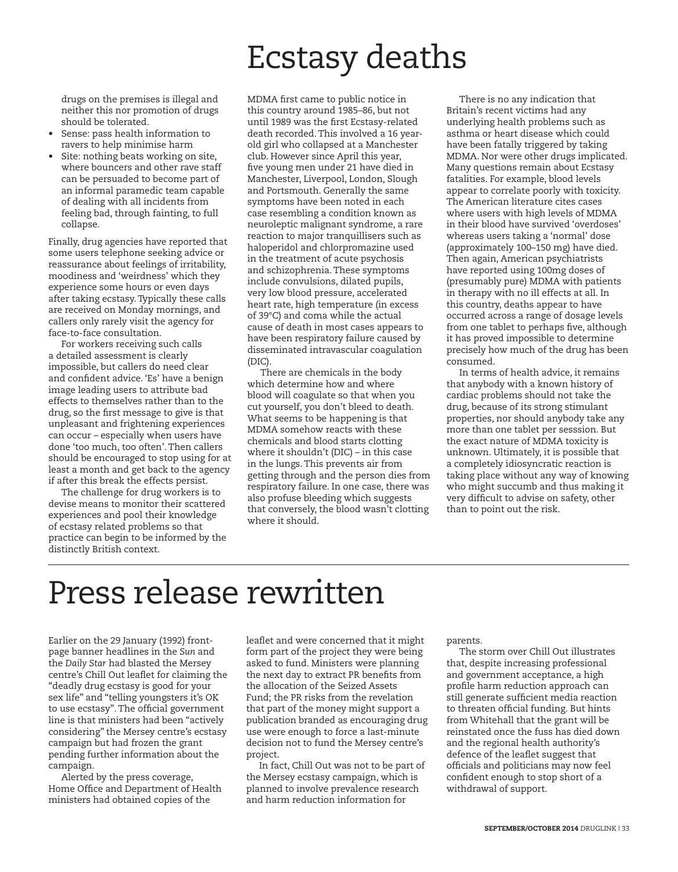### Ecstasy deaths

drugs on the premises is illegal and neither this nor promotion of drugs should be tolerated.

- Sense: pass health information to ravers to help minimise harm
- Site: nothing beats working on site, where bouncers and other rave staff can be persuaded to become part of an informal paramedic team capable of dealing with all incidents from feeling bad, through fainting, to full collapse.

Finally, drug agencies have reported that some users telephone seeking advice or reassurance about feelings of irritability, moodiness and 'weirdness' which they experience some hours or even days after taking ecstasy. Typically these calls are received on Monday mornings, and callers only rarely visit the agency for face-to-face consultation.

For workers receiving such calls a detailed assessment is clearly impossible, but callers do need clear and confident advice. 'Es' have a benign image leading users to attribute bad effects to themselves rather than to the drug, so the first message to give is that unpleasant and frightening experiences can occur – especially when users have done 'too much, too often'. Then callers should be encouraged to stop using for at least a month and get back to the agency if after this break the effects persist.

The challenge for drug workers is to devise means to monitor their scattered experiences and pool their knowledge of ecstasy related problems so that practice can begin to be informed by the distinctly British context.

MDMA first came to public notice in this country around 1985–86, but not until 1989 was the first Ecstasy-related death recorded. This involved a 16 yearold girl who collapsed at a Manchester club. However since April this year, five young men under 21 have died in Manchester, Liverpool, London, Slough and Portsmouth. Generally the same symptoms have been noted in each case resembling a condition known as neuroleptic malignant syndrome, a rare reaction to major tranquillisers such as haloperidol and chlorpromazine used in the treatment of acute psychosis and schizophrenia. These symptoms include convulsions, dilated pupils, very low blood pressure, accelerated heart rate, high temperature (in excess of 39°C) and coma while the actual cause of death in most cases appears to have been respiratory failure caused by disseminated intravascular coagulation (DIC).

There are chemicals in the body which determine how and where blood will coagulate so that when you cut yourself, you don't bleed to death. What seems to be happening is that MDMA somehow reacts with these chemicals and blood starts clotting where it shouldn't (DIC) – in this case in the lungs. This prevents air from getting through and the person dies from respiratory failure. In one case, there was also profuse bleeding which suggests that conversely, the blood wasn't clotting where it should.

There is no any indication that Britain's recent victims had any underlying health problems such as asthma or heart disease which could have been fatally triggered by taking MDMA. Nor were other drugs implicated. Many questions remain about Ecstasy fatalities. For example, blood levels appear to correlate poorly with toxicity. The American literature cites cases where users with high levels of MDMA in their blood have survived 'overdoses' whereas users taking a 'normal' dose (approximately 100–150 mg) have died. Then again, American psychiatrists have reported using 100mg doses of (presumably pure) MDMA with patients in therapy with no ill effects at all. In this country, deaths appear to have occurred across a range of dosage levels from one tablet to perhaps five, although it has proved impossible to determine precisely how much of the drug has been consumed.

In terms of health advice, it remains that anybody with a known history of cardiac problems should not take the drug, because of its strong stimulant properties, nor should anybody take any more than one tablet per sesssion. But the exact nature of MDMA toxicity is unknown. Ultimately, it is possible that a completely idiosyncratic reaction is taking place without any way of knowing who might succumb and thus making it very difficult to advise on safety, other than to point out the risk.

#### Press release rewritten

Earlier on the 29 January (1992) frontpage banner headlines in the *Sun* and the *Daily Star* had blasted the Mersey centre's Chill Out leaflet for claiming the "deadly drug ecstasy is good for your sex life" and "telling youngsters it's OK to use ecstasy". The official government line is that ministers had been "actively considering" the Mersey centre's ecstasy campaign but had frozen the grant pending further information about the campaign.

Alerted by the press coverage, Home Office and Department of Health ministers had obtained copies of the

leaflet and were concerned that it might form part of the project they were being asked to fund. Ministers were planning the next day to extract PR benefits from the allocation of the Seized Assets Fund; the PR risks from the revelation that part of the money might support a publication branded as encouraging drug use were enough to force a last-minute decision not to fund the Mersey centre's project.

In fact, Chill Out was not to be part of the Mersey ecstasy campaign, which is planned to involve prevalence research and harm reduction information for

parents.

The storm over Chill Out illustrates that, despite increasing professional and government acceptance, a high profile harm reduction approach can still generate sufficient media reaction to threaten official funding. But hints from Whitehall that the grant will be reinstated once the fuss has died down and the regional health authority's defence of the leaflet suggest that officials and politicians may now feel confident enough to stop short of a withdrawal of support.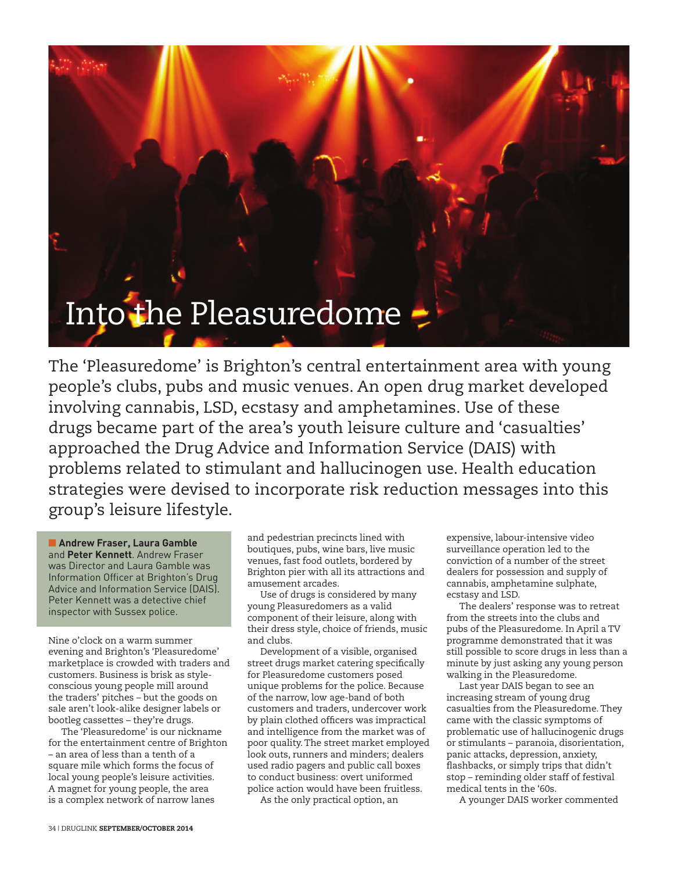

The 'Pleasuredome' is Brighton's central entertainment area with young people's clubs, pubs and music venues. An open drug market developed involving cannabis, LSD, ecstasy and amphetamines. Use of these drugs became part of the area's youth leisure culture and 'casualties' approached the Drug Advice and Information Service (DAIS) with problems related to stimulant and hallucinogen use. Health education strategies were devised to incorporate risk reduction messages into this group's leisure lifestyle.

**n** Andrew Fraser, Laura Gamble and **Peter Kennett**. Andrew Fraser was Director and Laura Gamble was Information Officer at Brighton's Drug Advice and Information Service (DAIS). Peter Kennett was a detective chief inspector with Sussex police.

Nine o'clock on a warm summer evening and Brighton's 'Pleasuredome' marketplace is crowded with traders and customers. Business is brisk as styleconscious young people mill around the traders' pitches – but the goods on sale aren't look-alike designer labels or bootleg cassettes – they're drugs.

The 'Pleasuredome' is our nickname for the entertainment centre of Brighton – an area of less than a tenth of a square mile which forms the focus of local young people's leisure activities. A magnet for young people, the area is a complex network of narrow lanes

and pedestrian precincts lined with boutiques, pubs, wine bars, live music venues, fast food outlets, bordered by Brighton pier with all its attractions and amusement arcades.

Use of drugs is considered by many young Pleasuredomers as a valid component of their leisure, along with their dress style, choice of friends, music and clubs.

Development of a visible, organised street drugs market catering specifically for Pleasuredome customers posed unique problems for the police. Because of the narrow, low age-band of both customers and traders, undercover work by plain clothed officers was impractical and intelligence from the market was of poor quality. The street market employed look outs, runners and minders; dealers used radio pagers and public call boxes to conduct business: overt uniformed police action would have been fruitless.

As the only practical option, an

expensive, labour-intensive video surveillance operation led to the conviction of a number of the street dealers for possession and supply of cannabis, amphetamine sulphate, ecstasy and LSD.

The dealers' response was to retreat from the streets into the clubs and pubs of the Pleasuredome. In April a TV programme demonstrated that it was still possible to score drugs in less than a minute by just asking any young person walking in the Pleasuredome.

Last year DAIS began to see an increasing stream of young drug casualties from the Pleasuredome. They came with the classic symptoms of problematic use of hallucinogenic drugs or stimulants – paranoia, disorientation, panic attacks, depression, anxiety, flashbacks, or simply trips that didn't stop – reminding older staff of festival medical tents in the '60s.

A younger DAIS worker commented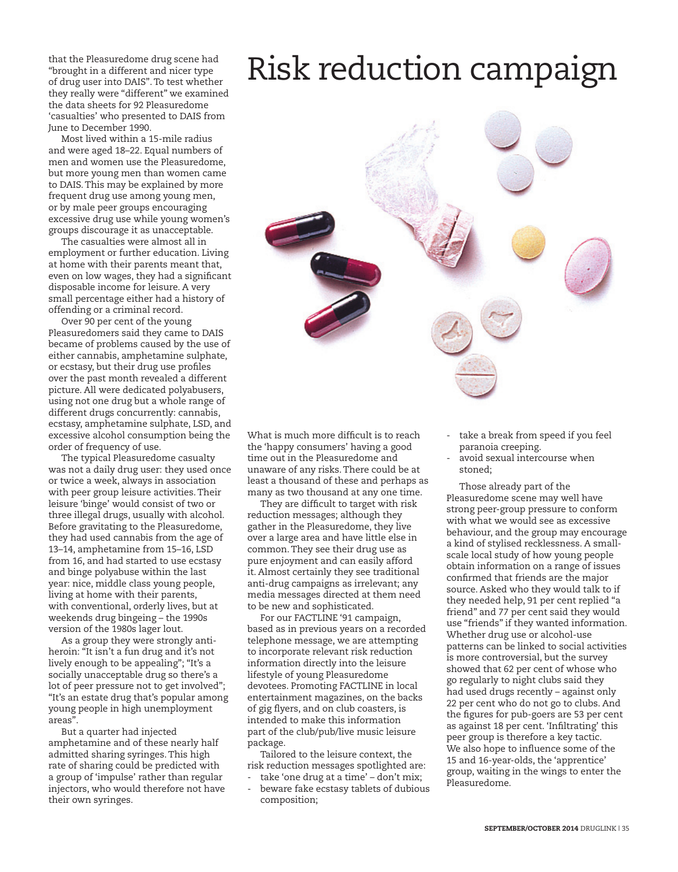that the Pleasuredome drug scene had "brought in a different and nicer type of drug user into DAIS". To test whether they really were "different" we examined the data sheets for 92 Pleasuredome 'casualties' who presented to DAIS from June to December 1990.

Most lived within a 15-mile radius and were aged 18–22. Equal numbers of men and women use the Pleasuredome, but more young men than women came to DAIS. This may be explained by more frequent drug use among young men, or by male peer groups encouraging excessive drug use while young women's groups discourage it as unacceptable.

The casualties were almost all in employment or further education. Living at home with their parents meant that, even on low wages, they had a significant disposable income for leisure. A very small percentage either had a history of offending or a criminal record.

Over 90 per cent of the young Pleasuredomers said they came to DAIS became of problems caused by the use of either cannabis, amphetamine sulphate, or ecstasy, but their drug use profiles over the past month revealed a different picture. All were dedicated polyabusers, using not one drug but a whole range of different drugs concurrently: cannabis, ecstasy, amphetamine sulphate, LSD, and excessive alcohol consumption being the order of frequency of use.

The typical Pleasuredome casualty was not a daily drug user: they used once or twice a week, always in association with peer group leisure activities. Their leisure 'binge' would consist of two or three illegal drugs, usually with alcohol. Before gravitating to the Pleasuredome, they had used cannabis from the age of 13–14, amphetamine from 15–16, LSD from 16, and had started to use ecstasy and binge polyabuse within the last year: nice, middle class young people, living at home with their parents, with conventional, orderly lives, but at weekends drug bingeing – the 1990s version of the 1980s lager lout.

As a group they were strongly antiheroin: "It isn't a fun drug and it's not lively enough to be appealing"; "It's a socially unacceptable drug so there's a lot of peer pressure not to get involved"; "It's an estate drug that's popular among young people in high unemployment areas".

But a quarter had injected amphetamine and of these nearly half admitted sharing syringes. This high rate of sharing could be predicted with a group of 'impulse' rather than regular injectors, who would therefore not have their own syringes.

What is much more difficult is to reach the 'happy consumers' having a good time out in the Pleasuredome and unaware of any risks. There could be at least a thousand of these and perhaps as many as two thousand at any one time.

They are difficult to target with risk reduction messages; although they gather in the Pleasuredome, they live over a large area and have little else in common. They see their drug use as pure enjoyment and can easily afford it. Almost certainly they see traditional anti-drug campaigns as irrelevant; any media messages directed at them need to be new and sophisticated.

For our FACTLINE '91 campaign, based as in previous years on a recorded telephone message, we are attempting to incorporate relevant risk reduction information directly into the leisure lifestyle of young Pleasuredome devotees. Promoting FACTLINE in local entertainment magazines, on the backs of gig flyers, and on club coasters, is intended to make this information part of the club/pub/live music leisure package.

Tailored to the leisure context, the risk reduction messages spotlighted are:

take 'one drug at a time' - don't mix; beware fake ecstasy tablets of dubious composition;

- take a break from speed if you feel paranoia creeping.
- avoid sexual intercourse when stoned;

Those already part of the Pleasuredome scene may well have strong peer-group pressure to conform with what we would see as excessive behaviour, and the group may encourage a kind of stylised recklessness. A smallscale local study of how young people obtain information on a range of issues confirmed that friends are the major source. Asked who they would talk to if they needed help, 91 per cent replied "a friend" and 77 per cent said they would use "friends" if they wanted information. Whether drug use or alcohol-use patterns can be linked to social activities is more controversial, but the survey showed that 62 per cent of whose who go regularly to night clubs said they had used drugs recently – against only 22 per cent who do not go to clubs. And the figures for pub-goers are 53 per cent as against 18 per cent. 'Infiltrating' this peer group is therefore a key tactic. We also hope to influence some of the 15 and 16-year-olds, the 'apprentice' group, waiting in the wings to enter the Pleasuredome.

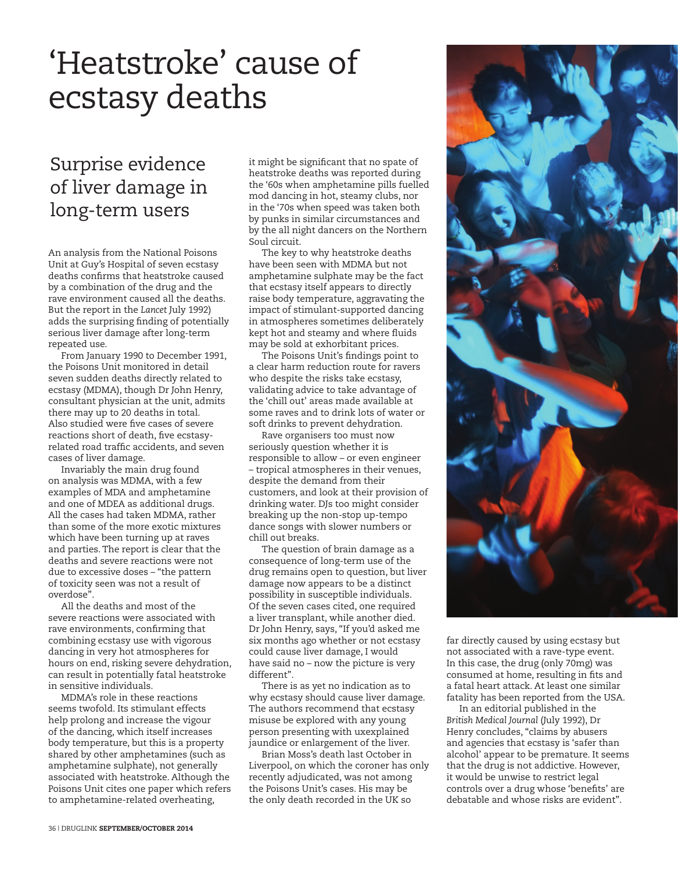### 'Heatstroke' cause of ecstasy deaths

#### Surprise evidence of liver damage in long-term users

An analysis from the National Poisons Unit at Guy's Hospital of seven ecstasy deaths confirms that heatstroke caused by a combination of the drug and the rave environment caused all the deaths. But the report in the *Lancet* July 1992) adds the surprising finding of potentially serious liver damage after long-term repeated use.

From January 1990 to December 1991, the Poisons Unit monitored in detail seven sudden deaths directly related to ecstasy (MDMA), though Dr John Henry, consultant physician at the unit, admits there may up to 20 deaths in total. Also studied were five cases of severe reactions short of death, five ecstasyrelated road traffic accidents, and seven cases of liver damage.

Invariably the main drug found on analysis was MDMA, with a few examples of MDA and amphetamine and one of MDEA as additional drugs. All the cases had taken MDMA, rather than some of the more exotic mixtures which have been turning up at raves and parties. The report is clear that the deaths and severe reactions were not due to excessive doses – "the pattern of toxicity seen was not a result of overdose".

All the deaths and most of the severe reactions were associated with rave environments, confirming that combining ecstasy use with vigorous dancing in very hot atmospheres for hours on end, risking severe dehydration, can result in potentially fatal heatstroke in sensitive individuals.

MDMA's role in these reactions seems twofold. Its stimulant effects help prolong and increase the vigour of the dancing, which itself increases body temperature, but this is a property shared by other amphetamines (such as amphetamine sulphate), not generally associated with heatstroke. Although the Poisons Unit cites one paper which refers to amphetamine-related overheating,

it might be significant that no spate of heatstroke deaths was reported during the '60s when amphetamine pills fuelled mod dancing in hot, steamy clubs, nor in the '70s when speed was taken both by punks in similar circumstances and by the all night dancers on the Northern Soul circuit.

The key to why heatstroke deaths have been seen with MDMA but not amphetamine sulphate may be the fact that ecstasy itself appears to directly raise body temperature, aggravating the impact of stimulant-supported dancing in atmospheres sometimes deliberately kept hot and steamy and where fluids may be sold at exhorbitant prices.

The Poisons Unit's findings point to a clear harm reduction route for ravers who despite the risks take ecstasy, validating advice to take advantage of the 'chill out' areas made available at some raves and to drink lots of water or soft drinks to prevent dehydration.

Rave organisers too must now seriously question whether it is responsible to allow – or even engineer – tropical atmospheres in their venues, despite the demand from their customers, and look at their provision of drinking water. DJs too might consider breaking up the non-stop up-tempo dance songs with slower numbers or chill out breaks.

The question of brain damage as a consequence of long-term use of the drug remains open to question, but liver damage now appears to be a distinct possibility in susceptible individuals. Of the seven cases cited, one required a liver transplant, while another died. Dr John Henry, says, "If you'd asked me six months ago whether or not ecstasy could cause liver damage, I would have said no – now the picture is very different".

There is as yet no indication as to why ecstasy should cause liver damage. The authors recommend that ecstasy misuse be explored with any young person presenting with uxexplained jaundice or enlargement of the liver.

Brian Moss's death last October in Liverpool, on which the coroner has only recently adjudicated, was not among the Poisons Unit's cases. His may be the only death recorded in the UK so



far directly caused by using ecstasy but not associated with a rave-type event. In this case, the drug (only 70mg) was consumed at home, resulting in fits and a fatal heart attack. At least one similar fatality has been reported from the USA.

In an editorial published in the *British Medical Journal* (July 1992), Dr Henry concludes, "claims by abusers and agencies that ecstasy is 'safer than alcohol' appear to be premature. It seems that the drug is not addictive. However, it would be unwise to restrict legal controls over a drug whose 'benefits' are debatable and whose risks are evident".